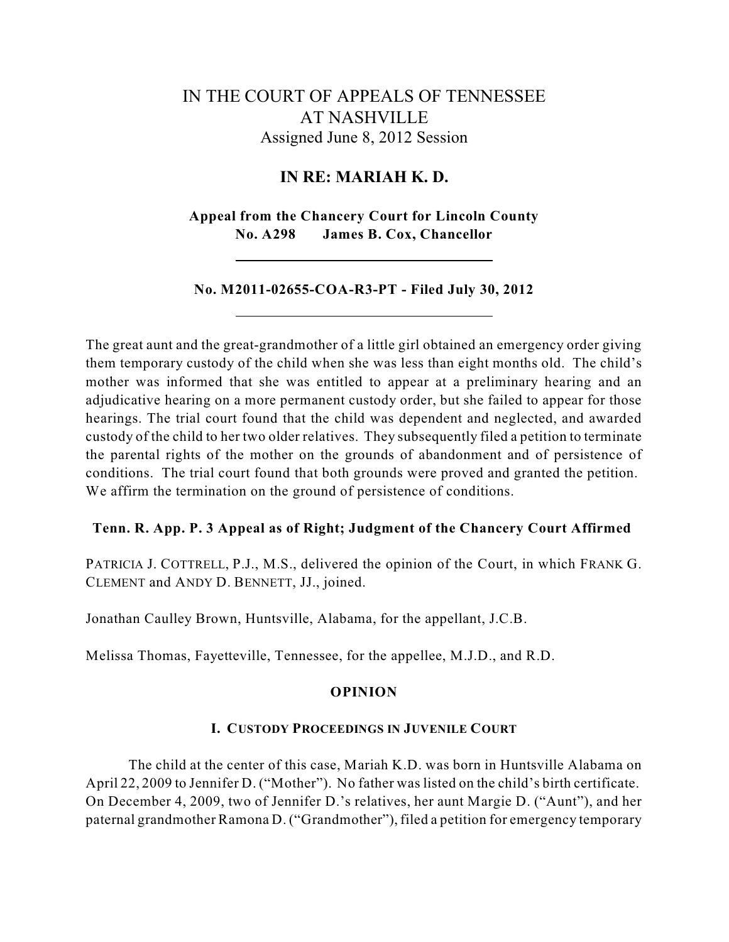# IN THE COURT OF APPEALS OF TENNESSEE AT NASHVILLE Assigned June 8, 2012 Session

# **IN RE: MARIAH K. D.**

**Appeal from the Chancery Court for Lincoln County No. A298 James B. Cox, Chancellor**

## **No. M2011-02655-COA-R3-PT - Filed July 30, 2012**

The great aunt and the great-grandmother of a little girl obtained an emergency order giving them temporary custody of the child when she was less than eight months old. The child's mother was informed that she was entitled to appear at a preliminary hearing and an adjudicative hearing on a more permanent custody order, but she failed to appear for those hearings. The trial court found that the child was dependent and neglected, and awarded custody of the child to her two older relatives. They subsequently filed a petition to terminate the parental rights of the mother on the grounds of abandonment and of persistence of conditions. The trial court found that both grounds were proved and granted the petition. We affirm the termination on the ground of persistence of conditions.

## **Tenn. R. App. P. 3 Appeal as of Right; Judgment of the Chancery Court Affirmed**

PATRICIA J. COTTRELL, P.J., M.S., delivered the opinion of the Court, in which FRANK G. CLEMENT and ANDY D. BENNETT, JJ., joined.

Jonathan Caulley Brown, Huntsville, Alabama, for the appellant, J.C.B.

Melissa Thomas, Fayetteville, Tennessee, for the appellee, M.J.D., and R.D.

### **OPINION**

### **I. CUSTODY PROCEEDINGS IN JUVENILE COURT**

The child at the center of this case, Mariah K.D. was born in Huntsville Alabama on April 22, 2009 to Jennifer D. ("Mother"). No father was listed on the child's birth certificate. On December 4, 2009, two of Jennifer D.'s relatives, her aunt Margie D. ("Aunt"), and her paternal grandmother Ramona D. ("Grandmother"), filed a petition for emergency temporary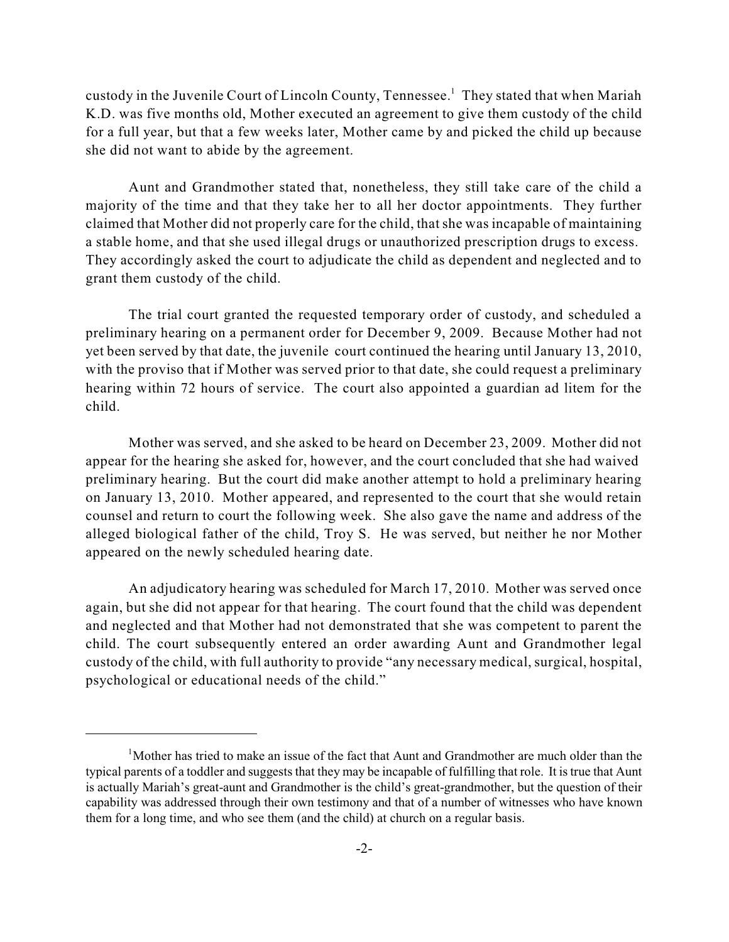custody in the Juvenile Court of Lincoln County, Tennessee.<sup>1</sup> They stated that when Mariah K.D. was five months old, Mother executed an agreement to give them custody of the child for a full year, but that a few weeks later, Mother came by and picked the child up because she did not want to abide by the agreement.

Aunt and Grandmother stated that, nonetheless, they still take care of the child a majority of the time and that they take her to all her doctor appointments. They further claimed that Mother did not properly care for the child, thatshe was incapable of maintaining a stable home, and that she used illegal drugs or unauthorized prescription drugs to excess. They accordingly asked the court to adjudicate the child as dependent and neglected and to grant them custody of the child.

The trial court granted the requested temporary order of custody, and scheduled a preliminary hearing on a permanent order for December 9, 2009. Because Mother had not yet been served by that date, the juvenile court continued the hearing until January 13, 2010, with the proviso that if Mother was served prior to that date, she could request a preliminary hearing within 72 hours of service. The court also appointed a guardian ad litem for the child.

Mother was served, and she asked to be heard on December 23, 2009. Mother did not appear for the hearing she asked for, however, and the court concluded that she had waived preliminary hearing. But the court did make another attempt to hold a preliminary hearing on January 13, 2010. Mother appeared, and represented to the court that she would retain counsel and return to court the following week. She also gave the name and address of the alleged biological father of the child, Troy S. He was served, but neither he nor Mother appeared on the newly scheduled hearing date.

An adjudicatory hearing was scheduled for March 17, 2010. Mother was served once again, but she did not appear for that hearing. The court found that the child was dependent and neglected and that Mother had not demonstrated that she was competent to parent the child. The court subsequently entered an order awarding Aunt and Grandmother legal custody of the child, with full authority to provide "any necessary medical, surgical, hospital, psychological or educational needs of the child."

 $<sup>1</sup>$ Mother has tried to make an issue of the fact that Aunt and Grandmother are much older than the</sup> typical parents of a toddler and suggests that they may be incapable of fulfilling that role. It istrue that Aunt is actually Mariah's great-aunt and Grandmother is the child's great-grandmother, but the question of their capability was addressed through their own testimony and that of a number of witnesses who have known them for a long time, and who see them (and the child) at church on a regular basis.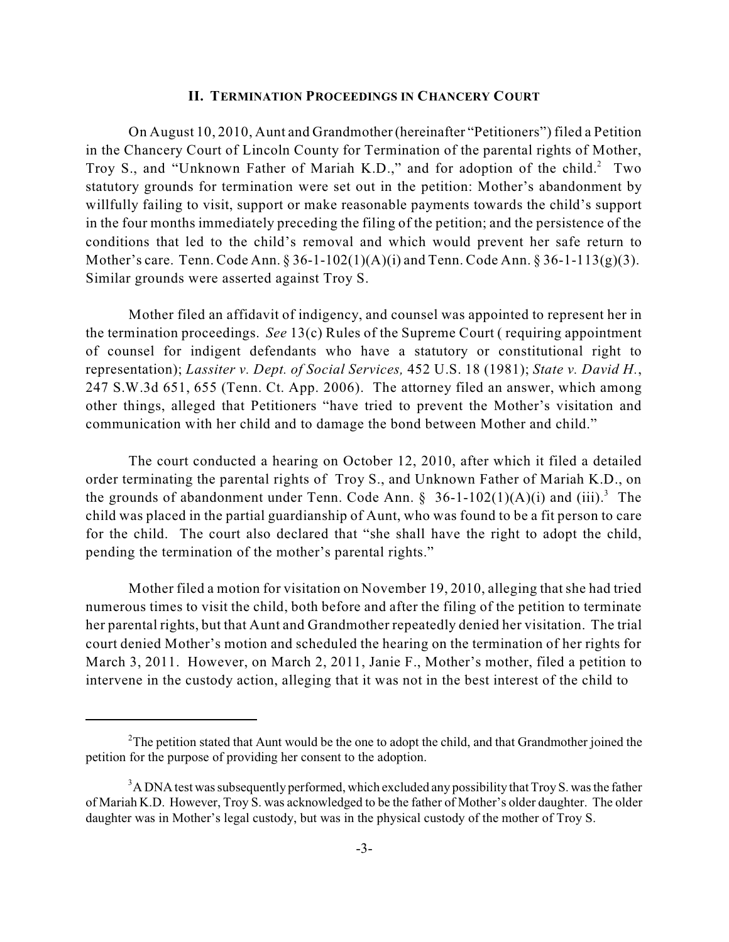#### **II. TERMINATION PROCEEDINGS IN CHANCERY COURT**

On August 10, 2010, Aunt and Grandmother (hereinafter "Petitioners") filed a Petition in the Chancery Court of Lincoln County for Termination of the parental rights of Mother, Troy S., and "Unknown Father of Mariah K.D.," and for adoption of the child.<sup>2</sup> Two statutory grounds for termination were set out in the petition: Mother's abandonment by willfully failing to visit, support or make reasonable payments towards the child's support in the four months immediately preceding the filing of the petition; and the persistence of the conditions that led to the child's removal and which would prevent her safe return to Mother's care. Tenn. Code Ann. § 36-1-102(1)(A)(i) and Tenn. Code Ann. § 36-1-113(g)(3). Similar grounds were asserted against Troy S.

Mother filed an affidavit of indigency, and counsel was appointed to represent her in the termination proceedings. *See* 13(c) Rules of the Supreme Court ( requiring appointment of counsel for indigent defendants who have a statutory or constitutional right to representation); *Lassiter v. Dept. of Social Services,* 452 U.S. 18 (1981); *State v. David H.*, 247 S.W.3d 651, 655 (Tenn. Ct. App. 2006). The attorney filed an answer, which among other things, alleged that Petitioners "have tried to prevent the Mother's visitation and communication with her child and to damage the bond between Mother and child."

The court conducted a hearing on October 12, 2010, after which it filed a detailed order terminating the parental rights of Troy S., and Unknown Father of Mariah K.D., on the grounds of abandonment under Tenn. Code Ann.  $\S$  36-1-102(1)(A)(i) and (iii).<sup>3</sup> The child was placed in the partial guardianship of Aunt, who was found to be a fit person to care for the child. The court also declared that "she shall have the right to adopt the child, pending the termination of the mother's parental rights."

Mother filed a motion for visitation on November 19, 2010, alleging that she had tried numerous times to visit the child, both before and after the filing of the petition to terminate her parental rights, but that Aunt and Grandmother repeatedly denied her visitation. The trial court denied Mother's motion and scheduled the hearing on the termination of her rights for March 3, 2011. However, on March 2, 2011, Janie F., Mother's mother, filed a petition to intervene in the custody action, alleging that it was not in the best interest of the child to

<sup>&</sup>lt;sup>2</sup>The petition stated that Aunt would be the one to adopt the child, and that Grandmother joined the petition for the purpose of providing her consent to the adoption.

 $3$ A DNA test was subsequently performed, which excluded any possibility that Troy S. was the father of Mariah K.D. However, Troy S. was acknowledged to be the father of Mother's older daughter. The older daughter was in Mother's legal custody, but was in the physical custody of the mother of Troy S.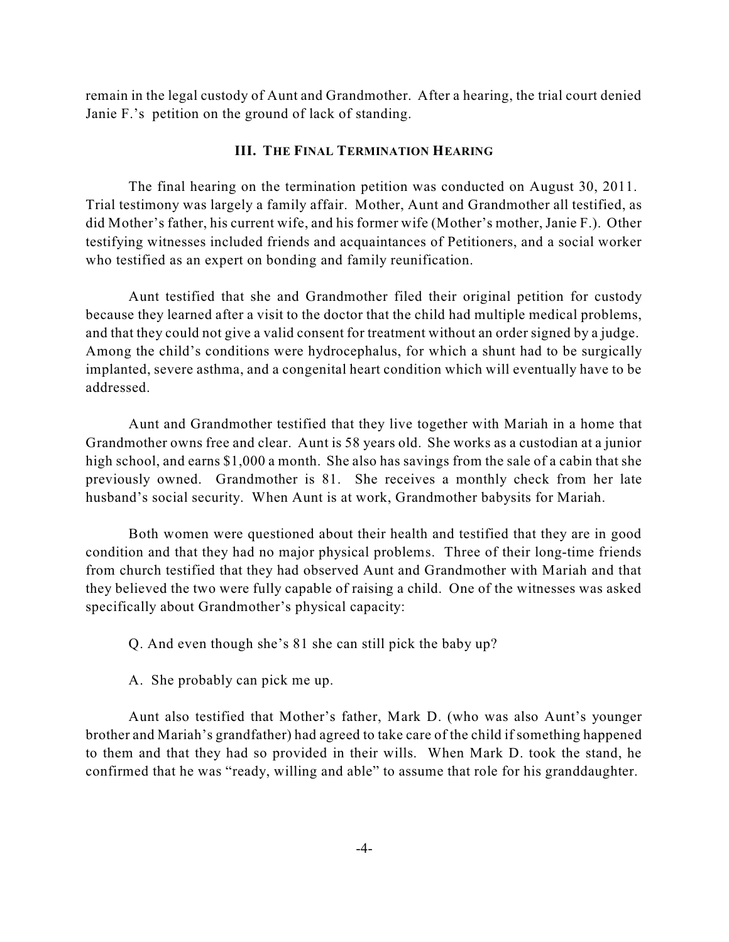remain in the legal custody of Aunt and Grandmother. After a hearing, the trial court denied Janie F.'s petition on the ground of lack of standing.

### **III. THE FINAL TERMINATION HEARING**

The final hearing on the termination petition was conducted on August 30, 2011. Trial testimony was largely a family affair. Mother, Aunt and Grandmother all testified, as did Mother's father, his current wife, and his former wife (Mother's mother, Janie F.). Other testifying witnesses included friends and acquaintances of Petitioners, and a social worker who testified as an expert on bonding and family reunification.

Aunt testified that she and Grandmother filed their original petition for custody because they learned after a visit to the doctor that the child had multiple medical problems, and that they could not give a valid consent for treatment without an order signed by a judge. Among the child's conditions were hydrocephalus, for which a shunt had to be surgically implanted, severe asthma, and a congenital heart condition which will eventually have to be addressed.

Aunt and Grandmother testified that they live together with Mariah in a home that Grandmother owns free and clear. Aunt is 58 years old. She works as a custodian at a junior high school, and earns \$1,000 a month. She also has savings from the sale of a cabin that she previously owned. Grandmother is 81. She receives a monthly check from her late husband's social security. When Aunt is at work, Grandmother babysits for Mariah.

Both women were questioned about their health and testified that they are in good condition and that they had no major physical problems. Three of their long-time friends from church testified that they had observed Aunt and Grandmother with Mariah and that they believed the two were fully capable of raising a child. One of the witnesses was asked specifically about Grandmother's physical capacity:

Q. And even though she's 81 she can still pick the baby up?

A. She probably can pick me up.

Aunt also testified that Mother's father, Mark D. (who was also Aunt's younger brother and Mariah's grandfather) had agreed to take care of the child if something happened to them and that they had so provided in their wills. When Mark D. took the stand, he confirmed that he was "ready, willing and able" to assume that role for his granddaughter.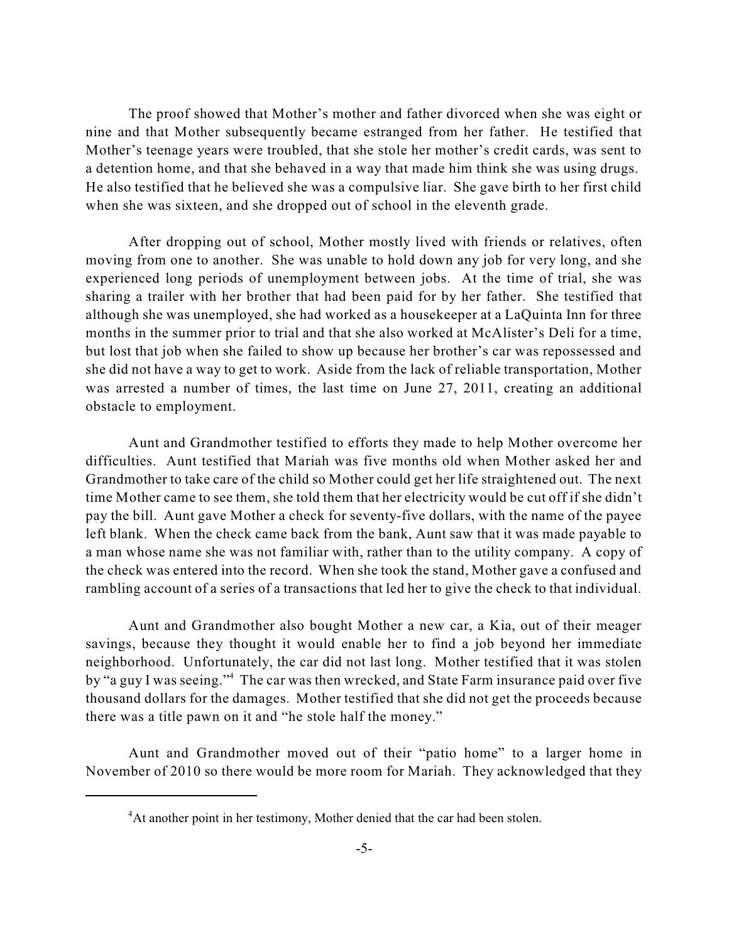The proof showed that Mother's mother and father divorced when she was eight or nine and that Mother subsequently became estranged from her father. He testified that Mother's teenage years were troubled, that she stole her mother's credit cards, was sent to a detention home, and that she behaved in a way that made him think she was using drugs. He also testified that he believed she was a compulsive liar. She gave birth to her first child when she was sixteen, and she dropped out of school in the eleventh grade.

After dropping out of school, Mother mostly lived with friends or relatives, often moving from one to another. She was unable to hold down any job for very long, and she experienced long periods of unemployment between jobs. At the time of trial, she was sharing a trailer with her brother that had been paid for by her father. She testified that although she was unemployed, she had worked as a housekeeper at a LaQuinta Inn for three months in the summer prior to trial and that she also worked at McAlister's Deli for a time, but lost that job when she failed to show up because her brother's car was repossessed and she did not have a way to get to work. Aside from the lack of reliable transportation, Mother was arrested a number of times, the last time on June 27, 2011, creating an additional obstacle to employment.

Aunt and Grandmother testified to efforts they made to help Mother overcome her difficulties. Aunt testified that Mariah was five months old when Mother asked her and Grandmother to take care of the child so Mother could get her life straightened out. The next time Mother came to see them, she told them that her electricity would be cut off if she didn't pay the bill. Aunt gave Mother a check for seventy-five dollars, with the name of the payee left blank. When the check came back from the bank, Aunt saw that it was made payable to a man whose name she was not familiar with, rather than to the utility company. A copy of the check was entered into the record. When she took the stand, Mother gave a confused and rambling account of a series of a transactions that led her to give the check to that individual.

Aunt and Grandmother also bought Mother a new car, a Kia, out of their meager savings, because they thought it would enable her to find a job beyond her immediate neighborhood. Unfortunately, the car did not last long. Mother testified that it was stolen by "a guy I was seeing."<sup>4</sup> The car was then wrecked, and State Farm insurance paid over five thousand dollars for the damages. Mother testified that she did not get the proceeds because there was a title pawn on it and "he stole half the money."

Aunt and Grandmother moved out of their "patio home" to a larger home in November of 2010 so there would be more room for Mariah. They acknowledged that they

<sup>&</sup>lt;sup>4</sup>At another point in her testimony, Mother denied that the car had been stolen.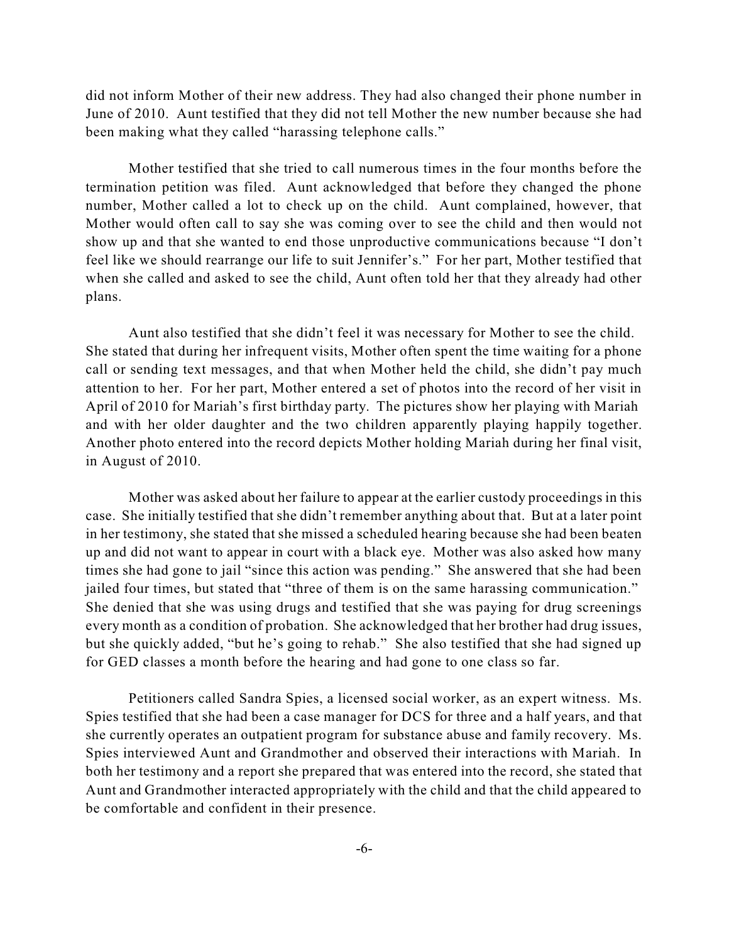did not inform Mother of their new address. They had also changed their phone number in June of 2010. Aunt testified that they did not tell Mother the new number because she had been making what they called "harassing telephone calls."

Mother testified that she tried to call numerous times in the four months before the termination petition was filed. Aunt acknowledged that before they changed the phone number, Mother called a lot to check up on the child. Aunt complained, however, that Mother would often call to say she was coming over to see the child and then would not show up and that she wanted to end those unproductive communications because "I don't feel like we should rearrange our life to suit Jennifer's." For her part, Mother testified that when she called and asked to see the child, Aunt often told her that they already had other plans.

Aunt also testified that she didn't feel it was necessary for Mother to see the child. She stated that during her infrequent visits, Mother often spent the time waiting for a phone call or sending text messages, and that when Mother held the child, she didn't pay much attention to her. For her part, Mother entered a set of photos into the record of her visit in April of 2010 for Mariah's first birthday party. The pictures show her playing with Mariah and with her older daughter and the two children apparently playing happily together. Another photo entered into the record depicts Mother holding Mariah during her final visit, in August of 2010.

Mother was asked about her failure to appear at the earlier custody proceedings in this case. She initially testified that she didn't remember anything about that. But at a later point in her testimony, she stated that she missed a scheduled hearing because she had been beaten up and did not want to appear in court with a black eye. Mother was also asked how many times she had gone to jail "since this action was pending." She answered that she had been jailed four times, but stated that "three of them is on the same harassing communication." She denied that she was using drugs and testified that she was paying for drug screenings every month as a condition of probation. She acknowledged that her brother had drug issues, but she quickly added, "but he's going to rehab." She also testified that she had signed up for GED classes a month before the hearing and had gone to one class so far.

Petitioners called Sandra Spies, a licensed social worker, as an expert witness. Ms. Spies testified that she had been a case manager for DCS for three and a half years, and that she currently operates an outpatient program for substance abuse and family recovery. Ms. Spies interviewed Aunt and Grandmother and observed their interactions with Mariah. In both her testimony and a report she prepared that was entered into the record, she stated that Aunt and Grandmother interacted appropriately with the child and that the child appeared to be comfortable and confident in their presence.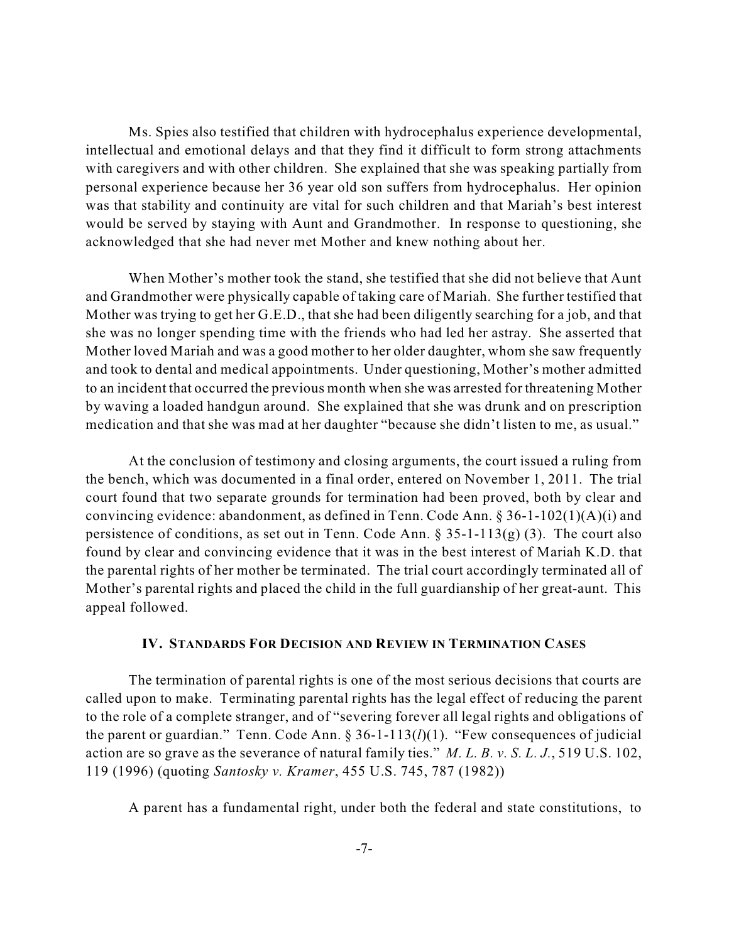Ms. Spies also testified that children with hydrocephalus experience developmental, intellectual and emotional delays and that they find it difficult to form strong attachments with caregivers and with other children. She explained that she was speaking partially from personal experience because her 36 year old son suffers from hydrocephalus. Her opinion was that stability and continuity are vital for such children and that Mariah's best interest would be served by staying with Aunt and Grandmother. In response to questioning, she acknowledged that she had never met Mother and knew nothing about her.

When Mother's mother took the stand, she testified that she did not believe that Aunt and Grandmother were physically capable of taking care of Mariah. She further testified that Mother was trying to get her G.E.D., that she had been diligently searching for a job, and that she was no longer spending time with the friends who had led her astray. She asserted that Mother loved Mariah and was a good mother to her older daughter, whom she saw frequently and took to dental and medical appointments. Under questioning, Mother's mother admitted to an incident that occurred the previous month when she was arrested for threatening Mother by waving a loaded handgun around. She explained that she was drunk and on prescription medication and that she was mad at her daughter "because she didn't listen to me, as usual."

At the conclusion of testimony and closing arguments, the court issued a ruling from the bench, which was documented in a final order, entered on November 1, 2011. The trial court found that two separate grounds for termination had been proved, both by clear and convincing evidence: abandonment, as defined in Tenn. Code Ann. § 36-1-102(1)(A)(i) and persistence of conditions, as set out in Tenn. Code Ann.  $\S 35-1-113(g)(3)$ . The court also found by clear and convincing evidence that it was in the best interest of Mariah K.D. that the parental rights of her mother be terminated. The trial court accordingly terminated all of Mother's parental rights and placed the child in the full guardianship of her great-aunt. This appeal followed.

#### **IV. STANDARDS FOR DECISION AND REVIEW IN TERMINATION CASES**

The termination of parental rights is one of the most serious decisions that courts are called upon to make. Terminating parental rights has the legal effect of reducing the parent to the role of a complete stranger, and of "severing forever all legal rights and obligations of the parent or guardian." Tenn. Code Ann. § 36-1-113(*l*)(1). "Few consequences of judicial action are so grave as the severance of natural family ties." *M. L. B. v. S. L. J.*, 519 U.S. 102, 119 (1996) (quoting *Santosky v. Kramer*, 455 U.S. 745, 787 (1982))

A parent has a fundamental right, under both the federal and state constitutions, to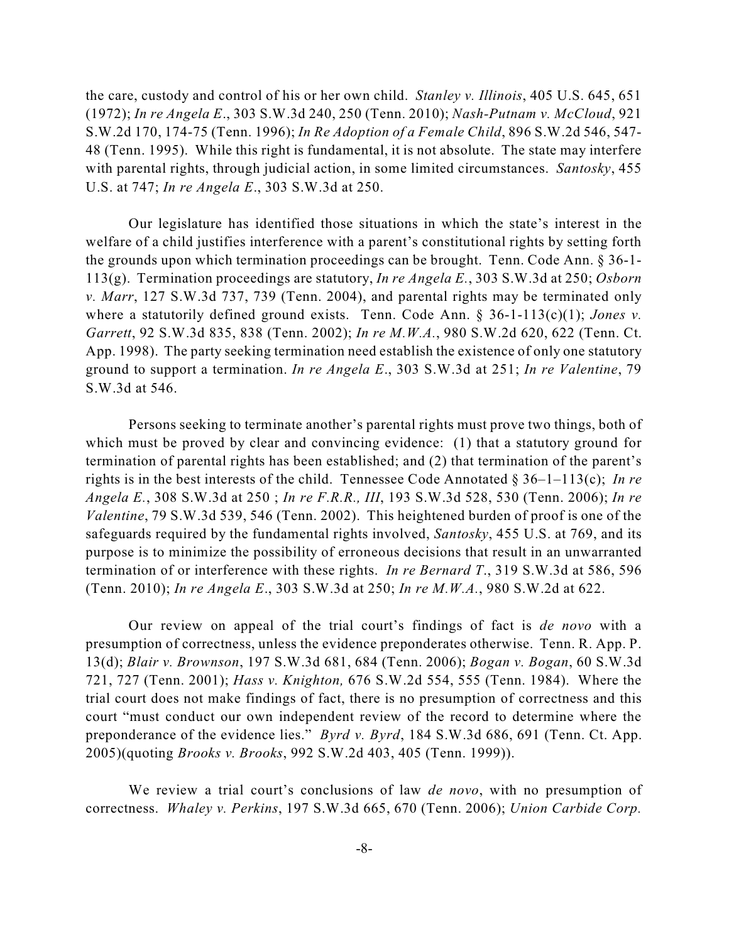the care, custody and control of his or her own child. *Stanley v. Illinois*, 405 U.S. 645, 651 (1972); *In re Angela E*., 303 S.W.3d 240, 250 (Tenn. 2010); *Nash-Putnam v. McCloud*, 921 S.W.2d 170, 174-75 (Tenn. 1996); *In Re Adoption of a Female Child*, 896 S.W.2d 546, 547- 48 (Tenn. 1995). While this right is fundamental, it is not absolute. The state may interfere with parental rights, through judicial action, in some limited circumstances. *Santosky*, 455 U.S. at 747; *In re Angela E*., 303 S.W.3d at 250.

Our legislature has identified those situations in which the state's interest in the welfare of a child justifies interference with a parent's constitutional rights by setting forth the grounds upon which termination proceedings can be brought. Tenn. Code Ann. § 36-1- 113(g). Termination proceedings are statutory, *In re Angela E.*, 303 S.W.3d at 250; *Osborn v. Marr*, 127 S.W.3d 737, 739 (Tenn. 2004), and parental rights may be terminated only where a statutorily defined ground exists. Tenn. Code Ann. § 36-1-113(c)(1); *Jones v. Garrett*, 92 S.W.3d 835, 838 (Tenn. 2002); *In re M.W.A.*, 980 S.W.2d 620, 622 (Tenn. Ct. App. 1998). The party seeking termination need establish the existence of only one statutory ground to support a termination. *In re Angela E*., 303 S.W.3d at 251; *In re Valentine*, 79 S.W.3d at 546.

Persons seeking to terminate another's parental rights must prove two things, both of which must be proved by clear and convincing evidence: (1) that a statutory ground for termination of parental rights has been established; and (2) that termination of the parent's rights is in the best interests of the child. Tennessee Code Annotated § 36–1–113(c); *In re Angela E.*, 308 S.W.3d at 250 ; *In re F.R.R., III*, 193 S.W.3d 528, 530 (Tenn. 2006); *In re Valentine*, 79 S.W.3d 539, 546 (Tenn. 2002). This heightened burden of proof is one of the safeguards required by the fundamental rights involved, *Santosky*, 455 U.S. at 769, and its purpose is to minimize the possibility of erroneous decisions that result in an unwarranted termination of or interference with these rights. *In re Bernard T*., 319 S.W.3d at 586, 596 (Tenn. 2010); *In re Angela E*., 303 S.W.3d at 250; *In re M.W.A.*, 980 S.W.2d at 622.

Our review on appeal of the trial court's findings of fact is *de novo* with a presumption of correctness, unless the evidence preponderates otherwise. Tenn. R. App. P. 13(d); *Blair v. Brownson*, 197 S.W.3d 681, 684 (Tenn. 2006); *Bogan v. Bogan*, 60 S.W.3d 721, 727 (Tenn. 2001); *Hass v. Knighton,* 676 S.W.2d 554, 555 (Tenn. 1984). Where the trial court does not make findings of fact, there is no presumption of correctness and this court "must conduct our own independent review of the record to determine where the preponderance of the evidence lies." *Byrd v. Byrd*, 184 S.W.3d 686, 691 (Tenn. Ct. App. 2005)(quoting *Brooks v. Brooks*, 992 S.W.2d 403, 405 (Tenn. 1999)).

We review a trial court's conclusions of law *de novo*, with no presumption of correctness. *Whaley v. Perkins*, 197 S.W.3d 665, 670 (Tenn. 2006); *Union Carbide Corp.*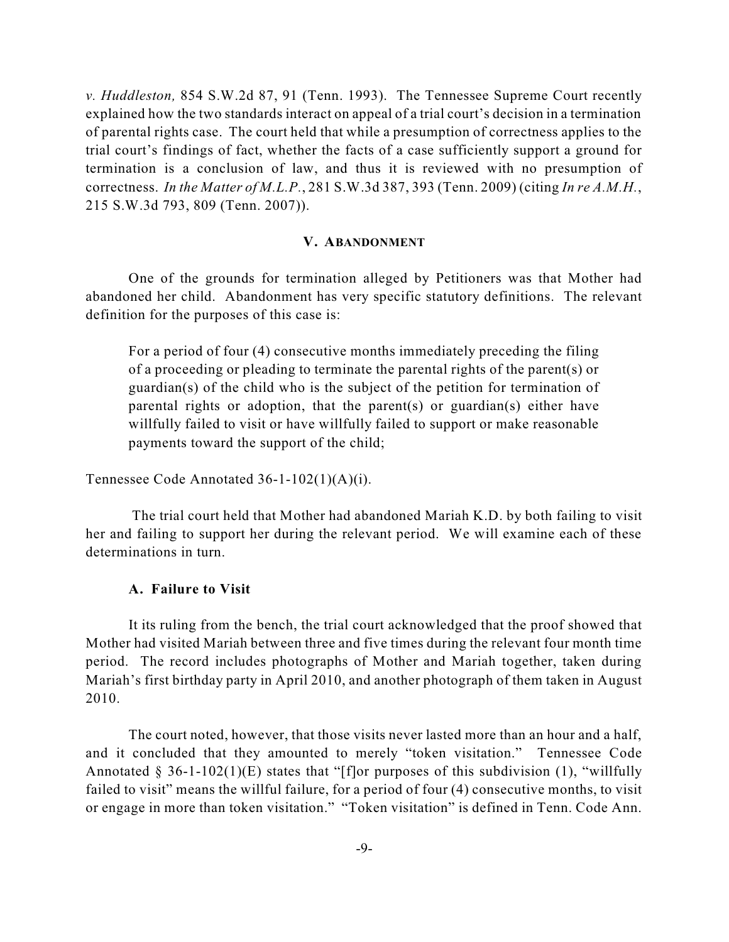*v. Huddleston,* 854 S.W.2d 87, 91 (Tenn. 1993). The Tennessee Supreme Court recently explained how the two standards interact on appeal of a trial court's decision in a termination of parental rights case. The court held that while a presumption of correctness applies to the trial court's findings of fact, whether the facts of a case sufficiently support a ground for termination is a conclusion of law, and thus it is reviewed with no presumption of correctness. *In the Matter of M.L.P.*, 281 S.W.3d 387, 393 (Tenn. 2009) (citing *In re A.M.H.*, 215 S.W.3d 793, 809 (Tenn. 2007)).

#### **V. ABANDONMENT**

One of the grounds for termination alleged by Petitioners was that Mother had abandoned her child. Abandonment has very specific statutory definitions. The relevant definition for the purposes of this case is:

For a period of four (4) consecutive months immediately preceding the filing of a proceeding or pleading to terminate the parental rights of the parent(s) or guardian(s) of the child who is the subject of the petition for termination of parental rights or adoption, that the parent(s) or guardian(s) either have willfully failed to visit or have willfully failed to support or make reasonable payments toward the support of the child;

Tennessee Code Annotated 36-1-102(1)(A)(i).

The trial court held that Mother had abandoned Mariah K.D. by both failing to visit her and failing to support her during the relevant period. We will examine each of these determinations in turn.

#### **A. Failure to Visit**

It its ruling from the bench, the trial court acknowledged that the proof showed that Mother had visited Mariah between three and five times during the relevant four month time period. The record includes photographs of Mother and Mariah together, taken during Mariah's first birthday party in April 2010, and another photograph of them taken in August 2010.

The court noted, however, that those visits never lasted more than an hour and a half, and it concluded that they amounted to merely "token visitation." Tennessee Code Annotated § 36-1-102(1)(E) states that "[f]or purposes of this subdivision (1), "willfully failed to visit" means the willful failure, for a period of four (4) consecutive months, to visit or engage in more than token visitation." "Token visitation" is defined in Tenn. Code Ann.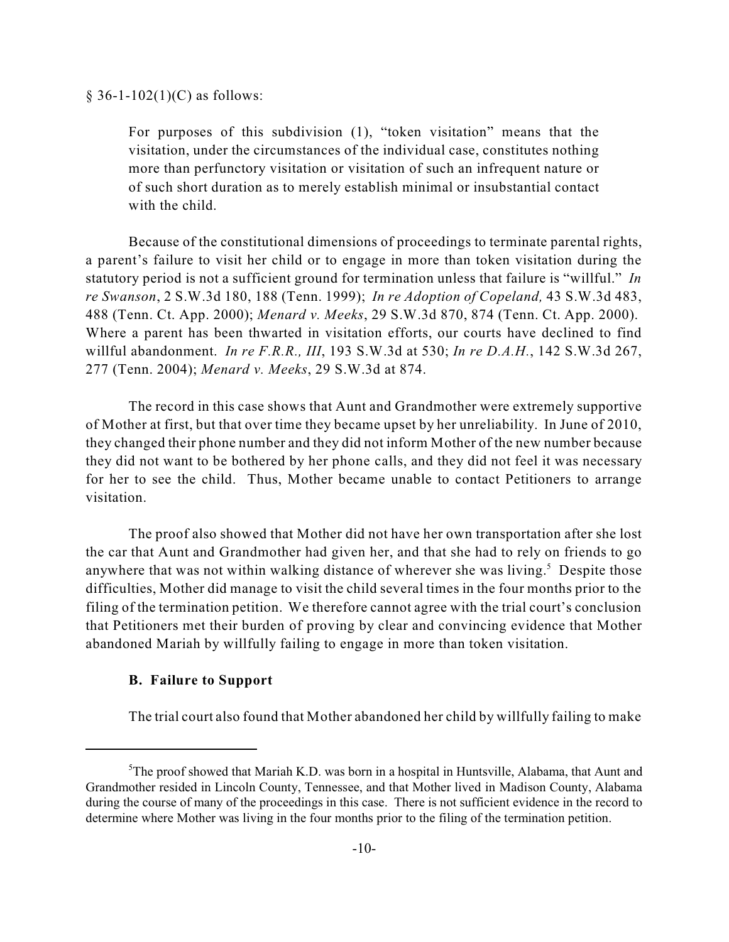$§ 36-1-102(1)(C)$  as follows:

For purposes of this subdivision (1), "token visitation" means that the visitation, under the circumstances of the individual case, constitutes nothing more than perfunctory visitation or visitation of such an infrequent nature or of such short duration as to merely establish minimal or insubstantial contact with the child.

Because of the constitutional dimensions of proceedings to terminate parental rights, a parent's failure to visit her child or to engage in more than token visitation during the statutory period is not a sufficient ground for termination unless that failure is "willful." *In re Swanson*, 2 S.W.3d 180, 188 (Tenn. 1999); *In re Adoption of Copeland,* 43 S.W.3d 483, 488 (Tenn. Ct. App. 2000); *Menard v. Meeks*, 29 S.W.3d 870, 874 (Tenn. Ct. App. 2000). Where a parent has been thwarted in visitation efforts, our courts have declined to find willful abandonment. *In re F.R.R., III*, 193 S.W.3d at 530; *In re D.A.H.*, 142 S.W.3d 267, 277 (Tenn. 2004); *Menard v. Meeks*, 29 S.W.3d at 874.

The record in this case shows that Aunt and Grandmother were extremely supportive of Mother at first, but that over time they became upset by her unreliability. In June of 2010, they changed their phone number and they did not inform Mother of the new number because they did not want to be bothered by her phone calls, and they did not feel it was necessary for her to see the child. Thus, Mother became unable to contact Petitioners to arrange visitation.

The proof also showed that Mother did not have her own transportation after she lost the car that Aunt and Grandmother had given her, and that she had to rely on friends to go anywhere that was not within walking distance of wherever she was living.<sup>5</sup> Despite those difficulties, Mother did manage to visit the child several times in the four months prior to the filing of the termination petition. We therefore cannot agree with the trial court's conclusion that Petitioners met their burden of proving by clear and convincing evidence that Mother abandoned Mariah by willfully failing to engage in more than token visitation.

#### **B. Failure to Support**

The trial court also found that Mother abandoned her child by willfully failing to make

 ${}^{5}$ The proof showed that Mariah K.D. was born in a hospital in Huntsville, Alabama, that Aunt and Grandmother resided in Lincoln County, Tennessee, and that Mother lived in Madison County, Alabama during the course of many of the proceedings in this case. There is not sufficient evidence in the record to determine where Mother was living in the four months prior to the filing of the termination petition.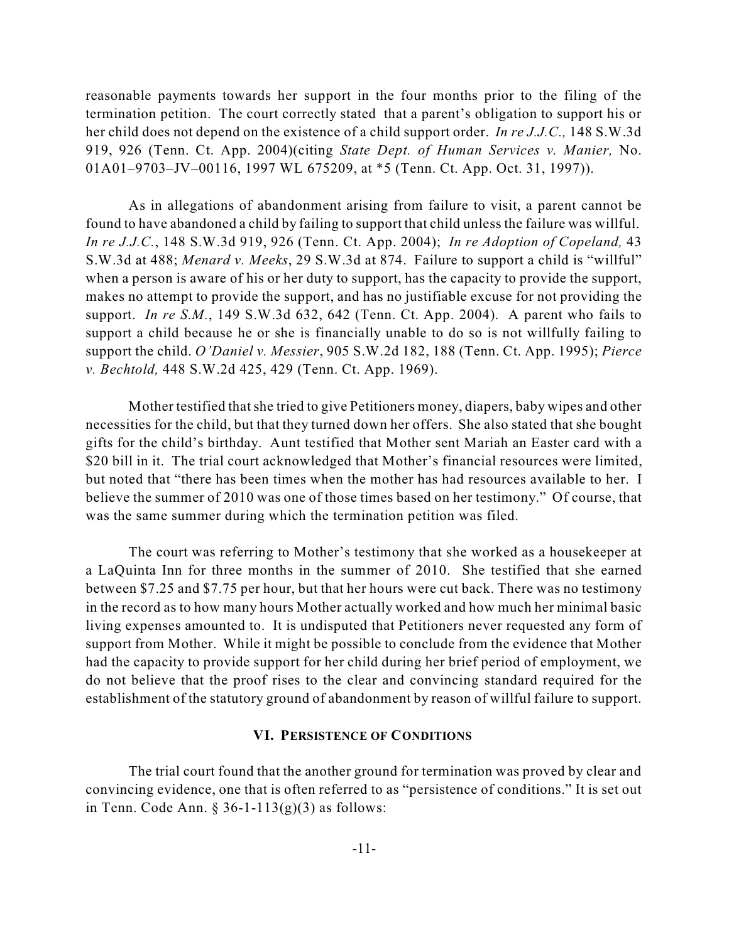reasonable payments towards her support in the four months prior to the filing of the termination petition. The court correctly stated that a parent's obligation to support his or her child does not depend on the existence of a child support order. *In re J.J.C.,* 148 S.W.3d 919, 926 (Tenn. Ct. App. 2004)(citing *State Dept. of Human Services v. Manier,* No. 01A01–9703–JV–00116, 1997 WL 675209, at \*5 (Tenn. Ct. App. Oct. 31, 1997)).

As in allegations of abandonment arising from failure to visit, a parent cannot be found to have abandoned a child by failing to support that child unless the failure was willful. *In re J.J.C.*, 148 S.W.3d 919, 926 (Tenn. Ct. App. 2004); *In re Adoption of Copeland,* 43 S.W.3d at 488; *Menard v. Meeks*, 29 S.W.3d at 874. Failure to support a child is "willful" when a person is aware of his or her duty to support, has the capacity to provide the support, makes no attempt to provide the support, and has no justifiable excuse for not providing the support. *In re S.M.*, 149 S.W.3d 632, 642 (Tenn. Ct. App. 2004). A parent who fails to support a child because he or she is financially unable to do so is not willfully failing to support the child. *O'Daniel v. Messier*, 905 S.W.2d 182, 188 (Tenn. Ct. App. 1995); *Pierce v. Bechtold,* 448 S.W.2d 425, 429 (Tenn. Ct. App. 1969).

Mother testified thatshe tried to give Petitioners money, diapers, baby wipes and other necessities for the child, but that they turned down her offers. She also stated that she bought gifts for the child's birthday. Aunt testified that Mother sent Mariah an Easter card with a \$20 bill in it. The trial court acknowledged that Mother's financial resources were limited, but noted that "there has been times when the mother has had resources available to her. I believe the summer of 2010 was one of those times based on her testimony." Of course, that was the same summer during which the termination petition was filed.

The court was referring to Mother's testimony that she worked as a housekeeper at a LaQuinta Inn for three months in the summer of 2010. She testified that she earned between \$7.25 and \$7.75 per hour, but that her hours were cut back. There was no testimony in the record as to how many hours Mother actually worked and how much her minimal basic living expenses amounted to. It is undisputed that Petitioners never requested any form of support from Mother. While it might be possible to conclude from the evidence that Mother had the capacity to provide support for her child during her brief period of employment, we do not believe that the proof rises to the clear and convincing standard required for the establishment of the statutory ground of abandonment by reason of willful failure to support.

#### **VI. PERSISTENCE OF CONDITIONS**

The trial court found that the another ground for termination was proved by clear and convincing evidence, one that is often referred to as "persistence of conditions." It is set out in Tenn. Code Ann. § 36-1-113 $(g)(3)$  as follows: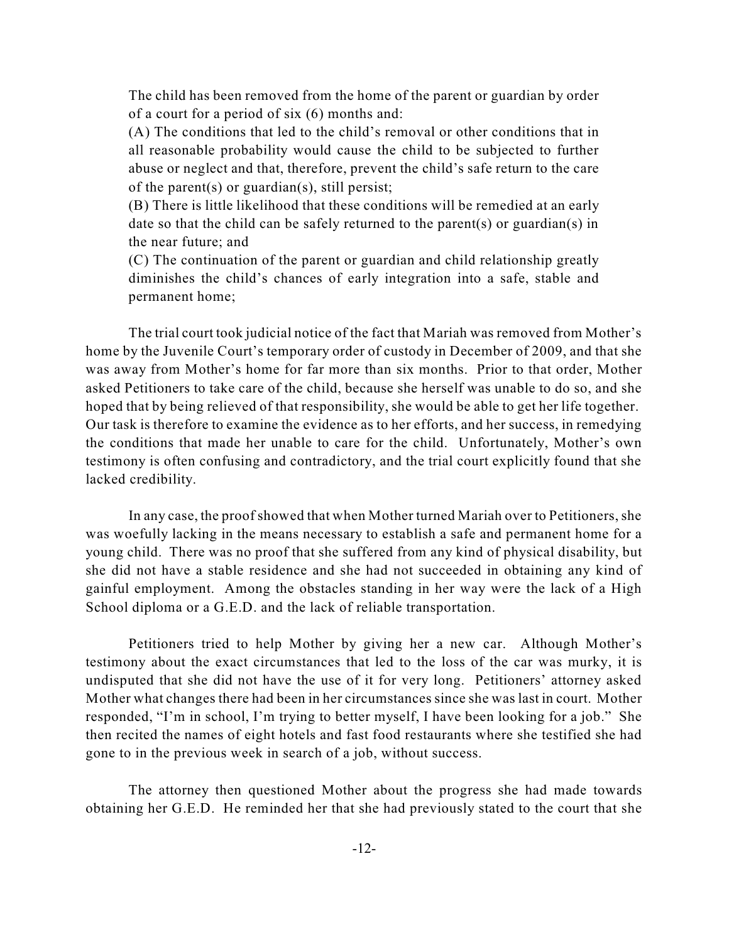The child has been removed from the home of the parent or guardian by order of a court for a period of six (6) months and:

(A) The conditions that led to the child's removal or other conditions that in all reasonable probability would cause the child to be subjected to further abuse or neglect and that, therefore, prevent the child's safe return to the care of the parent(s) or guardian(s), still persist;

(B) There is little likelihood that these conditions will be remedied at an early date so that the child can be safely returned to the parent(s) or guardian(s) in the near future; and

(C) The continuation of the parent or guardian and child relationship greatly diminishes the child's chances of early integration into a safe, stable and permanent home;

The trial court took judicial notice of the fact that Mariah was removed from Mother's home by the Juvenile Court's temporary order of custody in December of 2009, and that she was away from Mother's home for far more than six months. Prior to that order, Mother asked Petitioners to take care of the child, because she herself was unable to do so, and she hoped that by being relieved of that responsibility, she would be able to get her life together. Our task is therefore to examine the evidence as to her efforts, and her success, in remedying the conditions that made her unable to care for the child. Unfortunately, Mother's own testimony is often confusing and contradictory, and the trial court explicitly found that she lacked credibility.

In any case, the proof showed that when Mother turned Mariah over to Petitioners, she was woefully lacking in the means necessary to establish a safe and permanent home for a young child. There was no proof that she suffered from any kind of physical disability, but she did not have a stable residence and she had not succeeded in obtaining any kind of gainful employment. Among the obstacles standing in her way were the lack of a High School diploma or a G.E.D. and the lack of reliable transportation.

Petitioners tried to help Mother by giving her a new car. Although Mother's testimony about the exact circumstances that led to the loss of the car was murky, it is undisputed that she did not have the use of it for very long. Petitioners' attorney asked Mother what changes there had been in her circumstances since she was last in court. Mother responded, "I'm in school, I'm trying to better myself, I have been looking for a job." She then recited the names of eight hotels and fast food restaurants where she testified she had gone to in the previous week in search of a job, without success.

The attorney then questioned Mother about the progress she had made towards obtaining her G.E.D. He reminded her that she had previously stated to the court that she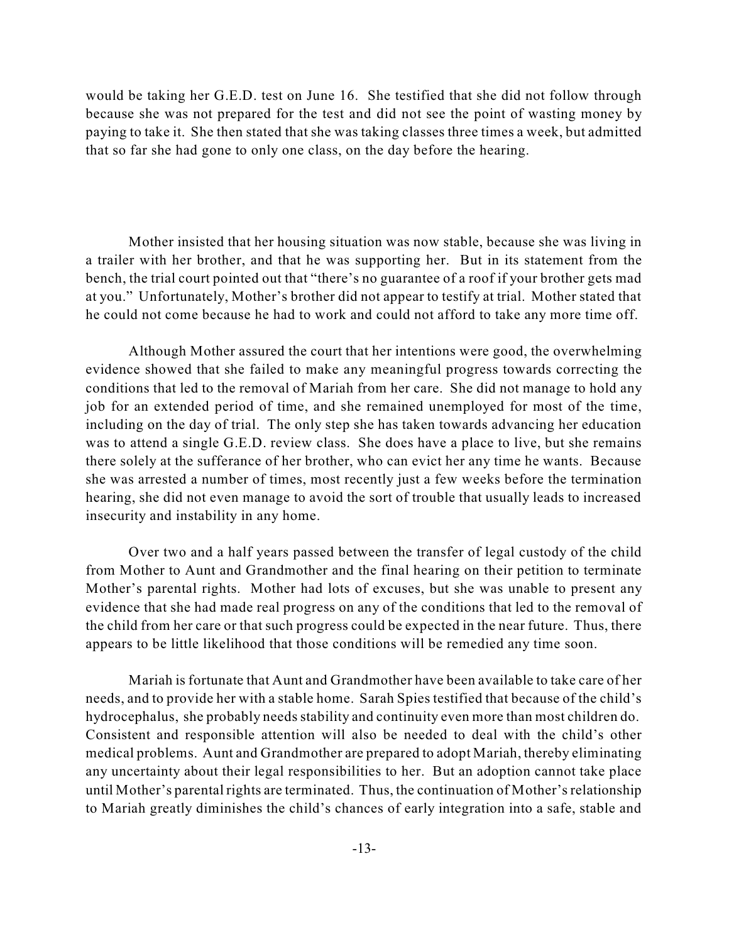would be taking her G.E.D. test on June 16. She testified that she did not follow through because she was not prepared for the test and did not see the point of wasting money by paying to take it. She then stated that she was taking classes three times a week, but admitted that so far she had gone to only one class, on the day before the hearing.

Mother insisted that her housing situation was now stable, because she was living in a trailer with her brother, and that he was supporting her. But in its statement from the bench, the trial court pointed out that "there's no guarantee of a roof if your brother gets mad at you." Unfortunately, Mother's brother did not appear to testify at trial. Mother stated that he could not come because he had to work and could not afford to take any more time off.

Although Mother assured the court that her intentions were good, the overwhelming evidence showed that she failed to make any meaningful progress towards correcting the conditions that led to the removal of Mariah from her care. She did not manage to hold any job for an extended period of time, and she remained unemployed for most of the time, including on the day of trial. The only step she has taken towards advancing her education was to attend a single G.E.D. review class. She does have a place to live, but she remains there solely at the sufferance of her brother, who can evict her any time he wants. Because she was arrested a number of times, most recently just a few weeks before the termination hearing, she did not even manage to avoid the sort of trouble that usually leads to increased insecurity and instability in any home.

Over two and a half years passed between the transfer of legal custody of the child from Mother to Aunt and Grandmother and the final hearing on their petition to terminate Mother's parental rights. Mother had lots of excuses, but she was unable to present any evidence that she had made real progress on any of the conditions that led to the removal of the child from her care or that such progress could be expected in the near future. Thus, there appears to be little likelihood that those conditions will be remedied any time soon.

Mariah is fortunate that Aunt and Grandmother have been available to take care of her needs, and to provide her with a stable home. Sarah Spies testified that because of the child's hydrocephalus, she probably needs stability and continuity even more than most children do. Consistent and responsible attention will also be needed to deal with the child's other medical problems. Aunt and Grandmother are prepared to adopt Mariah, thereby eliminating any uncertainty about their legal responsibilities to her. But an adoption cannot take place until Mother's parental rights are terminated. Thus, the continuation of Mother'srelationship to Mariah greatly diminishes the child's chances of early integration into a safe, stable and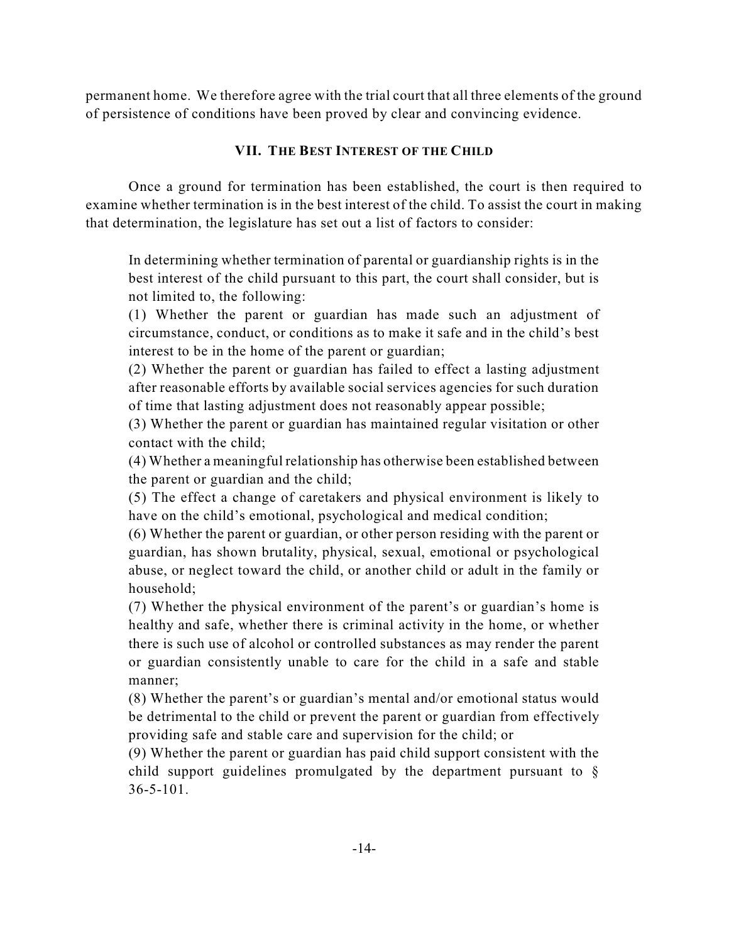permanent home. We therefore agree with the trial court that all three elements of the ground of persistence of conditions have been proved by clear and convincing evidence.

# **VII. THE BEST INTEREST OF THE CHILD**

Once a ground for termination has been established, the court is then required to examine whether termination is in the best interest of the child. To assist the court in making that determination, the legislature has set out a list of factors to consider:

In determining whether termination of parental or guardianship rights is in the best interest of the child pursuant to this part, the court shall consider, but is not limited to, the following:

(1) Whether the parent or guardian has made such an adjustment of circumstance, conduct, or conditions as to make it safe and in the child's best interest to be in the home of the parent or guardian;

(2) Whether the parent or guardian has failed to effect a lasting adjustment after reasonable efforts by available social services agencies for such duration of time that lasting adjustment does not reasonably appear possible;

(3) Whether the parent or guardian has maintained regular visitation or other contact with the child;

(4) Whether a meaningful relationship has otherwise been established between the parent or guardian and the child;

(5) The effect a change of caretakers and physical environment is likely to have on the child's emotional, psychological and medical condition;

(6) Whether the parent or guardian, or other person residing with the parent or guardian, has shown brutality, physical, sexual, emotional or psychological abuse, or neglect toward the child, or another child or adult in the family or household;

(7) Whether the physical environment of the parent's or guardian's home is healthy and safe, whether there is criminal activity in the home, or whether there is such use of alcohol or controlled substances as may render the parent or guardian consistently unable to care for the child in a safe and stable manner;

(8) Whether the parent's or guardian's mental and/or emotional status would be detrimental to the child or prevent the parent or guardian from effectively providing safe and stable care and supervision for the child; or

(9) Whether the parent or guardian has paid child support consistent with the child support guidelines promulgated by the department pursuant to § 36-5-101.